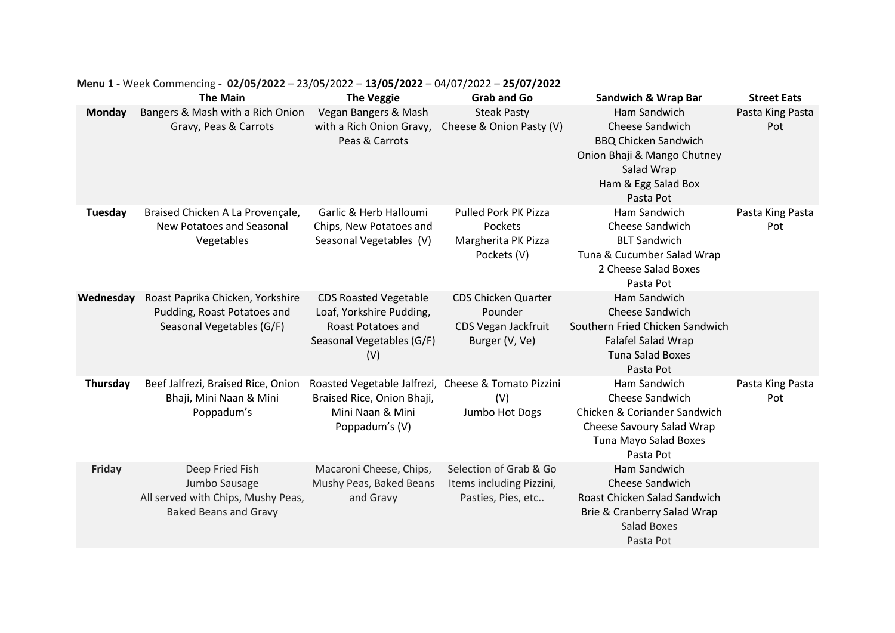|               | <b>The Main</b>                                                                                        | <b>The Veggie</b>                                                                                                       | Grab and Go                                                                    | <b>Sandwich &amp; Wrap Bar</b>                                                                                                                         | <b>Street Eats</b>      |
|---------------|--------------------------------------------------------------------------------------------------------|-------------------------------------------------------------------------------------------------------------------------|--------------------------------------------------------------------------------|--------------------------------------------------------------------------------------------------------------------------------------------------------|-------------------------|
| <b>Monday</b> | Bangers & Mash with a Rich Onion<br>Gravy, Peas & Carrots                                              | Vegan Bangers & Mash<br>with a Rich Onion Gravy,<br>Peas & Carrots                                                      | <b>Steak Pasty</b><br>Cheese & Onion Pasty (V)                                 | Ham Sandwich<br><b>Cheese Sandwich</b><br><b>BBQ Chicken Sandwich</b><br>Onion Bhaji & Mango Chutney<br>Salad Wrap<br>Ham & Egg Salad Box<br>Pasta Pot | Pasta King Pasta<br>Pot |
| Tuesday       | Braised Chicken A La Provençale,<br><b>New Potatoes and Seasonal</b><br>Vegetables                     | Garlic & Herb Halloumi<br>Chips, New Potatoes and<br>Seasonal Vegetables (V)                                            | <b>Pulled Pork PK Pizza</b><br>Pockets<br>Margherita PK Pizza<br>Pockets (V)   | Ham Sandwich<br>Cheese Sandwich<br><b>BLT Sandwich</b><br>Tuna & Cucumber Salad Wrap<br>2 Cheese Salad Boxes<br>Pasta Pot                              | Pasta King Pasta<br>Pot |
| Wednesday     | Roast Paprika Chicken, Yorkshire<br>Pudding, Roast Potatoes and<br>Seasonal Vegetables (G/F)           | <b>CDS Roasted Vegetable</b><br>Loaf, Yorkshire Pudding,<br>Roast Potatoes and<br>Seasonal Vegetables (G/F)<br>(V)      | <b>CDS Chicken Quarter</b><br>Pounder<br>CDS Vegan Jackfruit<br>Burger (V, Ve) | Ham Sandwich<br>Cheese Sandwich<br>Southern Fried Chicken Sandwich<br>Falafel Salad Wrap<br><b>Tuna Salad Boxes</b><br>Pasta Pot                       |                         |
| Thursday      | Beef Jalfrezi, Braised Rice, Onion<br>Bhaji, Mini Naan & Mini<br>Poppadum's                            | Roasted Vegetable Jalfrezi, Cheese & Tomato Pizzini<br>Braised Rice, Onion Bhaji,<br>Mini Naan & Mini<br>Poppadum's (V) | (V)<br>Jumbo Hot Dogs                                                          | Ham Sandwich<br>Cheese Sandwich<br>Chicken & Coriander Sandwich<br>Cheese Savoury Salad Wrap<br>Tuna Mayo Salad Boxes<br>Pasta Pot                     | Pasta King Pasta<br>Pot |
| <b>Friday</b> | Deep Fried Fish<br>Jumbo Sausage<br>All served with Chips, Mushy Peas,<br><b>Baked Beans and Gravy</b> | Macaroni Cheese, Chips,<br>Mushy Peas, Baked Beans<br>and Gravy                                                         | Selection of Grab & Go<br>Items including Pizzini,<br>Pasties, Pies, etc       | Ham Sandwich<br>Cheese Sandwich<br>Roast Chicken Salad Sandwich<br>Brie & Cranberry Salad Wrap<br><b>Salad Boxes</b><br>Pasta Pot                      |                         |

## **Menu 1 -** Week Commencing **- 02/05/2022** – 23/05/2022 – **13/05/2022** – 04/07/2022 – **25/07/2022**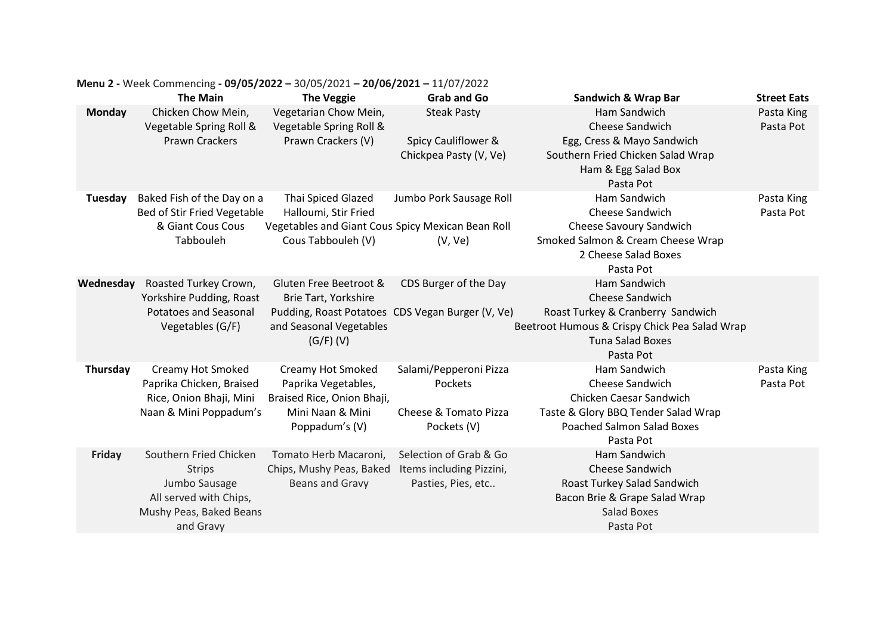|               | <b>The Main</b>                                                          | <b>The Veggie</b>                                                      | <b>Grab and Go</b>                               | <b>Sandwich &amp; Wrap Bar</b>                                                                                             | <b>Street Eats</b>      |
|---------------|--------------------------------------------------------------------------|------------------------------------------------------------------------|--------------------------------------------------|----------------------------------------------------------------------------------------------------------------------------|-------------------------|
| <b>Monday</b> | Chicken Chow Mein,<br>Vegetable Spring Roll &                            | Vegetarian Chow Mein,<br>Vegetable Spring Roll &                       | <b>Steak Pasty</b>                               | Ham Sandwich<br>Cheese Sandwich                                                                                            | Pasta King<br>Pasta Pot |
|               | <b>Prawn Crackers</b>                                                    | Prawn Crackers (V)                                                     | Spicy Cauliflower &<br>Chickpea Pasty (V, Ve)    | Egg, Cress & Mayo Sandwich<br>Southern Fried Chicken Salad Wrap<br>Ham & Egg Salad Box<br>Pasta Pot                        |                         |
| Tuesday       | Baked Fish of the Day on a<br>Bed of Stir Fried Vegetable                | Thai Spiced Glazed<br>Halloumi, Stir Fried                             | Jumbo Pork Sausage Roll                          | Ham Sandwich<br>Cheese Sandwich                                                                                            | Pasta King<br>Pasta Pot |
|               | & Giant Cous Cous                                                        | Vegetables and Giant Cous Spicy Mexican Bean Roll                      |                                                  | Cheese Savoury Sandwich                                                                                                    |                         |
|               | Tabbouleh                                                                | Cous Tabbouleh (V)                                                     | (V, Ve)                                          | Smoked Salmon & Cream Cheese Wrap<br>2 Cheese Salad Boxes<br>Pasta Pot                                                     |                         |
| Wednesday     | Roasted Turkey Crown,<br>Yorkshire Pudding, Roast                        | Gluten Free Beetroot &<br>Brie Tart, Yorkshire                         | CDS Burger of the Day                            | Ham Sandwich<br>Cheese Sandwich                                                                                            |                         |
|               | <b>Potatoes and Seasonal</b><br>Vegetables (G/F)                         | and Seasonal Vegetables<br>$(G/F)$ (V)                                 | Pudding, Roast Potatoes CDS Vegan Burger (V, Ve) | Roast Turkey & Cranberry Sandwich<br>Beetroot Humous & Crispy Chick Pea Salad Wrap<br><b>Tuna Salad Boxes</b><br>Pasta Pot |                         |
| Thursday      | Creamy Hot Smoked<br>Paprika Chicken, Braised<br>Rice, Onion Bhaji, Mini | Creamy Hot Smoked<br>Paprika Vegetables,<br>Braised Rice, Onion Bhaji, | Salami/Pepperoni Pizza<br>Pockets                | Ham Sandwich<br>Cheese Sandwich<br>Chicken Caesar Sandwich                                                                 | Pasta King<br>Pasta Pot |
|               | Naan & Mini Poppadum's                                                   | Mini Naan & Mini<br>Poppadum's (V)                                     | Cheese & Tomato Pizza<br>Pockets (V)             | Taste & Glory BBQ Tender Salad Wrap<br><b>Poached Salmon Salad Boxes</b><br>Pasta Pot                                      |                         |
| <b>Friday</b> | Southern Fried Chicken                                                   | Tomato Herb Macaroni,                                                  | Selection of Grab & Go                           | Ham Sandwich                                                                                                               |                         |
|               | <b>Strips</b>                                                            | Chips, Mushy Peas, Baked                                               | Items including Pizzini,                         | Cheese Sandwich                                                                                                            |                         |
|               | Jumbo Sausage                                                            | Beans and Gravy                                                        | Pasties, Pies, etc                               | Roast Turkey Salad Sandwich                                                                                                |                         |
|               | All served with Chips,                                                   |                                                                        |                                                  | Bacon Brie & Grape Salad Wrap<br><b>Salad Boxes</b>                                                                        |                         |
|               | Mushy Peas, Baked Beans<br>and Gravy                                     |                                                                        |                                                  | Pasta Pot                                                                                                                  |                         |
|               |                                                                          |                                                                        |                                                  |                                                                                                                            |                         |

## **Menu 2 -** Week Commencing **- 09/05/2022 –** 30/05/2021 **– 20/06/2021 –** 11/07/2022